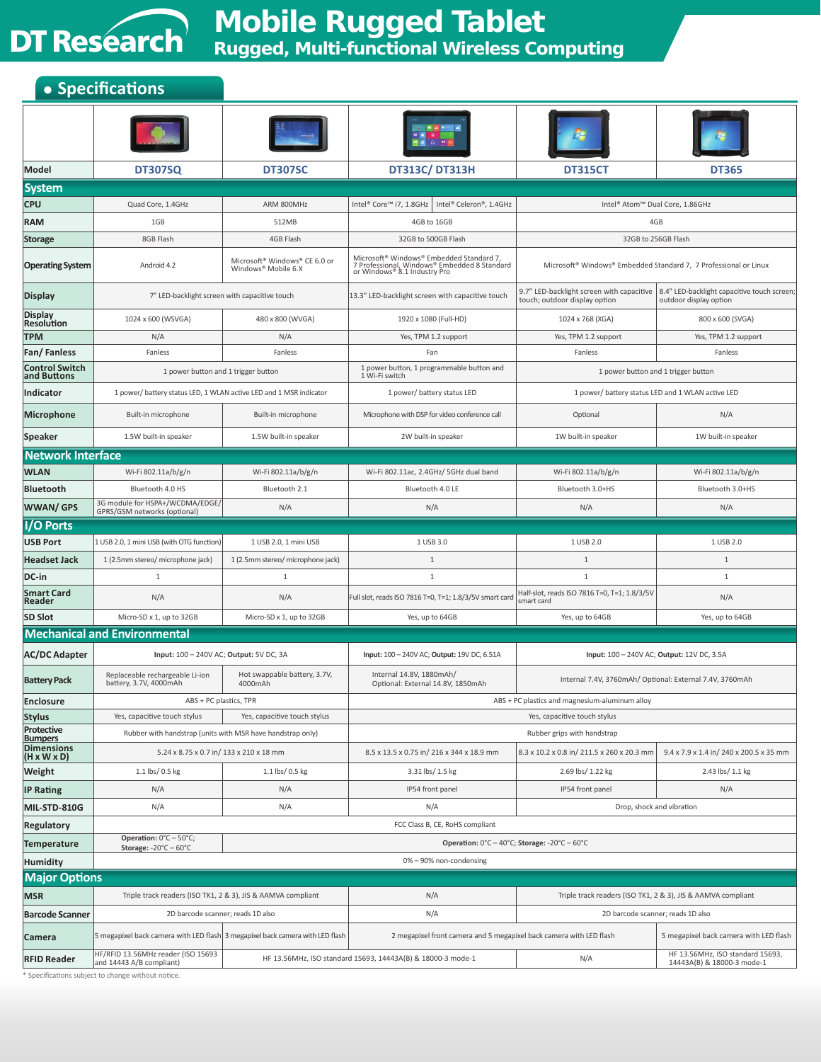

## **Mobile Rugged Tablet Rugged, Multi-functional Wireless Computing**

## **• Specifications**

| Model                                        | <b>DT307SQ</b>                                                                | <b>DT307SC</b>                                                                                     | <b>DT313C/ DT313H</b>                                                                                                    | <b>DT315CT</b>                                                                           | <b>DT365</b>                                                          |  |
|----------------------------------------------|-------------------------------------------------------------------------------|----------------------------------------------------------------------------------------------------|--------------------------------------------------------------------------------------------------------------------------|------------------------------------------------------------------------------------------|-----------------------------------------------------------------------|--|
| <b>System</b>                                |                                                                               |                                                                                                    |                                                                                                                          |                                                                                          |                                                                       |  |
| <b>CPU</b>                                   | Quad Core, 1.4GHz                                                             | ARM 800MHz                                                                                         | Intel® Core™ i7, 1.8GHz<br>Intel® Celeron®, 1.4GHz                                                                       | Intel <sup>®</sup> Atom™ Dual Core, 1.86GHz                                              |                                                                       |  |
| <b>RAM</b>                                   | 1GB                                                                           | 512MB                                                                                              | 4GB to 16GB                                                                                                              | 4GB                                                                                      |                                                                       |  |
| <b>Storage</b>                               | 8GB Flash                                                                     | 4GB Flash                                                                                          | 32GB to 500GB Flash                                                                                                      | 32GB to 256GB Flash                                                                      |                                                                       |  |
| <b>Operating System</b>                      | Android 4.2                                                                   | Microsoft <sup>®</sup> Windows <sup>®</sup> CE 6.0 or<br>Windows <sup>®</sup> Mobile 6.X           | Microsoft® Windows® Embedded Standard 7,<br>7 Professional, Windows® Embedded 8 Standard<br>or Windows® 8.1 Industry Pro | Microsoft <sup>®</sup> Windows <sup>®</sup> Embedded Standard 7, 7 Professional or Linux |                                                                       |  |
| <b>Display</b>                               | 7" LED-backlight screen with capacitive touch                                 |                                                                                                    | 13.3" LED-backlight screen with capacitive touch                                                                         | 9.7" LED-backlight screen with capacitive<br>touch; outdoor display option               | 8.4" LED-backlight capacitive touch screen;<br>outdoor display option |  |
| <b>Display</b><br><b>Resolution</b>          | 1024 x 600 (WSVGA)                                                            | 480 x 800 (WVGA)                                                                                   | 1920 x 1080 (Full-HD)                                                                                                    | 1024 x 768 (XGA)                                                                         | 800 x 600 (SVGA)                                                      |  |
| <b>TPM</b>                                   | N/A                                                                           | N/A                                                                                                | Yes, TPM 1.2 support                                                                                                     | Yes, TPM 1.2 support                                                                     | Yes, TPM 1.2 support                                                  |  |
| <b>Fan/Fanless</b>                           | Fanless                                                                       | Fanless                                                                                            | Fan                                                                                                                      | Fanless                                                                                  | Fanless                                                               |  |
| <b>Control Switch</b><br>and Buttons         |                                                                               | 1 power button, 1 programmable button and<br>1 power button and 1 trigger button<br>1 Wi-Fi switch |                                                                                                                          | 1 power button and 1 trigger button                                                      |                                                                       |  |
| Indicator                                    | 1 power/ battery status LED, 1 WLAN active LED and 1 MSR indicator            |                                                                                                    | 1 power/ battery status LED                                                                                              | 1 power/ battery status LED and 1 WLAN active LED                                        |                                                                       |  |
| Microphone                                   | Built-in microphone                                                           | Built-in microphone                                                                                | Microphone with DSP for video conference call                                                                            | Optional                                                                                 | N/A                                                                   |  |
| Speaker                                      | 1.5W built-in speaker                                                         | 1.5W built-in speaker                                                                              | 2W built-in speaker                                                                                                      | 1W built-in speaker                                                                      | 1W built-in speaker                                                   |  |
| <b>Network Interface</b>                     |                                                                               |                                                                                                    |                                                                                                                          |                                                                                          |                                                                       |  |
| <b>WLAN</b>                                  | Wi-Fi 802.11a/b/g/n                                                           | Wi-Fi 802.11a/b/g/n                                                                                | Wi-Fi 802.11ac, 2.4GHz/ 5GHz dual band                                                                                   | Wi-Fi 802.11a/b/g/n                                                                      | Wi-Fi 802.11a/b/g/n                                                   |  |
| <b>Bluetooth</b>                             | Bluetooth 4.0 HS                                                              | Bluetooth 2.1                                                                                      | Bluetooth 4.0 LE                                                                                                         | Bluetooth 3.0+HS                                                                         | Bluetooth 3.0+HS                                                      |  |
| <b>WWAN/GPS</b>                              | 3G module for HSPA+/WCDMA/EDGE/<br>GPRS/GSM networks (optional)               | N/A                                                                                                | N/A                                                                                                                      | N/A                                                                                      | N/A                                                                   |  |
| I/O Ports                                    |                                                                               |                                                                                                    |                                                                                                                          |                                                                                          |                                                                       |  |
| <b>USB Port</b>                              | 1 USB 2.0, 1 mini USB (with OTG function)                                     | 1 USB 2.0, 1 mini USB                                                                              | 1 USB 3.0                                                                                                                | 1 USB 2.0                                                                                | 1 USB 2.0                                                             |  |
| <b>Headset Jack</b>                          | 1 (2.5mm stereo/ microphone jack)                                             | 1 (2.5mm stereo/ microphone jack)                                                                  | $\mathbf{1}$                                                                                                             | $\mathbf{1}$                                                                             | $\mathbf{1}$                                                          |  |
| DC-in                                        | 1                                                                             | 1                                                                                                  | $\mathbf{1}$                                                                                                             | $\mathbf{1}$                                                                             | $\mathbf{1}$                                                          |  |
| <b>Smart Card</b><br>Reader                  | N/A                                                                           | N/A                                                                                                | Full slot, reads ISO 7816 T=0, T=1; 1.8/3/5V smart card                                                                  | Half-slot, reads ISO 7816 T=0, T=1; 1.8/3/5V<br>smart card                               | N/A                                                                   |  |
| <b>SD Slot</b>                               | Micro-SD x 1, up to 32GB                                                      | Micro-SD x 1, up to 32GB                                                                           | Yes, up to 64GB                                                                                                          | Yes, up to 64GB                                                                          | Yes, up to 64GB                                                       |  |
|                                              | <b>Mechanical and Environmental</b>                                           |                                                                                                    |                                                                                                                          |                                                                                          |                                                                       |  |
| <b>AC/DC Adapter</b>                         | Input: 100 - 240V AC; Output: 5V DC, 3A                                       |                                                                                                    | Input: 100 - 240V AC; Output: 19V DC, 6.51A                                                                              | Input: 100 - 240V AC; Output: 12V DC, 3.5A                                               |                                                                       |  |
| <b>Battery Pack</b>                          | Replaceable rechargeable Li-ion<br>battery, 3.7V, 4000mAh                     | Hot swappable battery, 3.7V,<br>4000mAh                                                            | Internal 14.8V, 1880mAh/<br>Optional: External 14.8V, 1850mAh                                                            |                                                                                          | Internal 7.4V, 3760mAh/ Optional: External 7.4V, 3760mAh              |  |
| Enclosure                                    | ABS + PC plastics, TPR                                                        |                                                                                                    |                                                                                                                          | ABS + PC plastics and magnesium-aluminum alloy                                           |                                                                       |  |
| <b>Stylus</b>                                | Yes, capacitive touch stylus                                                  | Yes, capacitive touch stylus                                                                       | Yes, capacitive touch stylus                                                                                             |                                                                                          |                                                                       |  |
| Protective<br><b>Bumpers</b>                 | Rubber with handstrap (units with MSR have handstrap only)                    |                                                                                                    | Rubber grips with handstrap                                                                                              |                                                                                          |                                                                       |  |
| <b>Dimensions</b><br>$(H \times W \times D)$ | 5.24 x 8.75 x 0.7 in/ 133 x 210 x 18 mm                                       |                                                                                                    | 8.5 x 13.5 x 0.75 in/ 216 x 344 x 18.9 mm                                                                                | 8.3 x 10.2 x 0.8 in/ 211.5 x 260 x 20.3 mm                                               | 9.4 x 7.9 x 1.4 in/ 240 x 200.5 x 35 mm                               |  |
| Weight                                       | 1.1 lbs/ 0.5 kg                                                               | 1.1 lbs/ 0.5 kg                                                                                    | 3.31 lbs/ 1.5 kg                                                                                                         | 2.69 lbs/ 1.22 kg                                                                        | 2.43 lbs/ 1.1 kg                                                      |  |
| <b>IP Rating</b>                             | N/A                                                                           | N/A                                                                                                | IP54 front panel                                                                                                         | IP54 front panel                                                                         | N/A                                                                   |  |
| MIL-STD-810G                                 | N/A                                                                           | N/A                                                                                                | N/A                                                                                                                      |                                                                                          | Drop, shock and vibration                                             |  |
| Regulatory                                   |                                                                               |                                                                                                    | FCC Class B, CE, RoHS compliant                                                                                          |                                                                                          |                                                                       |  |
| <b>Temperature</b>                           | Operation: 0°C - 50°C;<br>Storage: $-20^{\circ}$ C - 60 $^{\circ}$ C          |                                                                                                    |                                                                                                                          | Operation: $0^{\circ}$ C - 40 $^{\circ}$ C; Storage: -20 $^{\circ}$ C - 60 $^{\circ}$ C  |                                                                       |  |
| <b>Humidity</b>                              |                                                                               |                                                                                                    | 0% - 90% non-condensing                                                                                                  |                                                                                          |                                                                       |  |
| <b>Major Options</b>                         |                                                                               |                                                                                                    |                                                                                                                          |                                                                                          |                                                                       |  |
| <b>MSR</b>                                   | Triple track readers (ISO TK1, 2 & 3), JIS & AAMVA compliant                  |                                                                                                    | N/A                                                                                                                      | Triple track readers (ISO TK1, 2 & 3), JIS & AAMVA compliant                             |                                                                       |  |
| <b>Barcode Scanner</b>                       | 2D barcode scanner; reads 1D also                                             |                                                                                                    | N/A                                                                                                                      | 2D barcode scanner; reads 1D also                                                        |                                                                       |  |
| Camera                                       | 5 megapixel back camera with LED flash 3 megapixel back camera with LED flash |                                                                                                    | 2 megapixel front camera and 5 megapixel back camera with LED flash                                                      |                                                                                          | 5 megapixel back camera with LED flash                                |  |
| <b>RFID Reader</b>                           | HF/RFID 13.56MHz reader (ISO 15693<br>and 14443 A/B compliant)                |                                                                                                    | HF 13.56MHz, ISO standard 15693, 14443A(B) & 18000-3 mode-1                                                              | N/A                                                                                      | HF 13.56MHz, ISO standard 15693,<br>14443A(B) & 18000-3 mode-1        |  |

\* Specifications subject to change without notice.